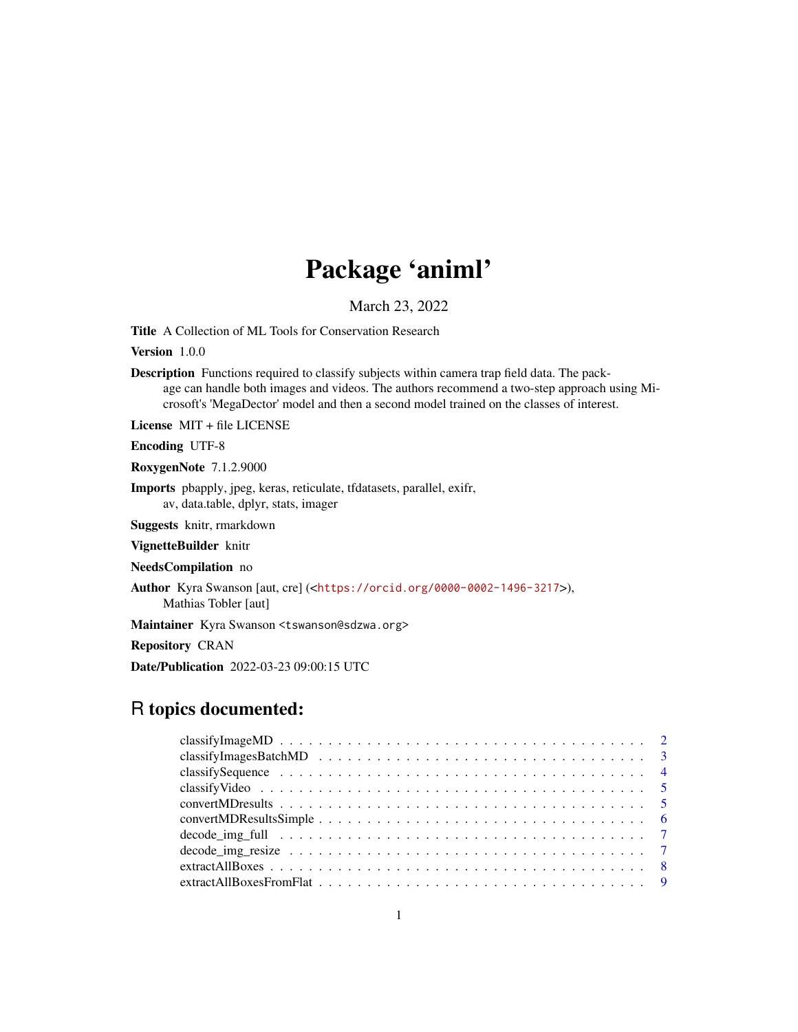# Package 'animl'

March 23, 2022

Title A Collection of ML Tools for Conservation Research

Version 1.0.0

Description Functions required to classify subjects within camera trap field data. The package can handle both images and videos. The authors recommend a two-step approach using Microsoft's 'MegaDector' model and then a second model trained on the classes of interest.

License MIT + file LICENSE

Encoding UTF-8

RoxygenNote 7.1.2.9000

Imports pbapply, jpeg, keras, reticulate, tfdatasets, parallel, exifr, av, data.table, dplyr, stats, imager

Suggests knitr, rmarkdown

VignetteBuilder knitr

NeedsCompilation no

Author Kyra Swanson [aut, cre] (<<https://orcid.org/0000-0002-1496-3217>>), Mathias Tobler [aut]

Maintainer Kyra Swanson <tswanson@sdzwa.org>

Repository CRAN

Date/Publication 2022-03-23 09:00:15 UTC

# R topics documented: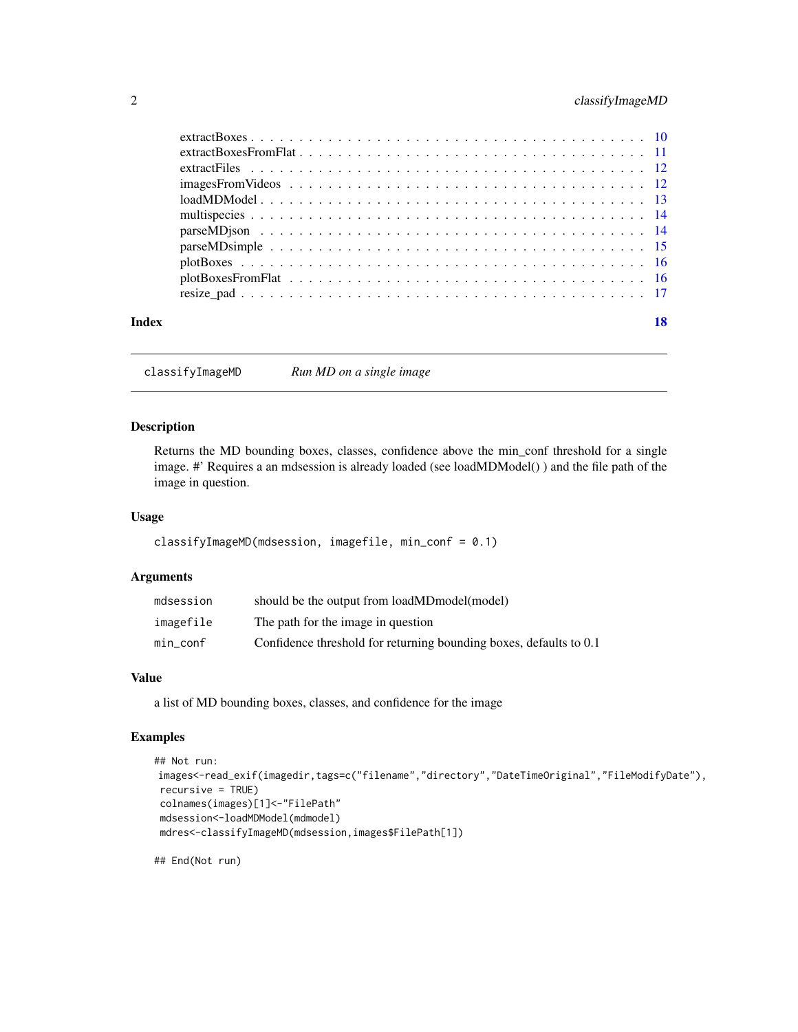# <span id="page-1-0"></span>2 classifyImageMD

| Index |  |
|-------|--|
|       |  |
|       |  |
|       |  |
|       |  |
|       |  |
|       |  |
|       |  |
|       |  |
|       |  |
|       |  |
|       |  |

classifyImageMD *Run MD on a single image*

# Description

Returns the MD bounding boxes, classes, confidence above the min\_conf threshold for a single image. #' Requires a an mdsession is already loaded (see loadMDModel() ) and the file path of the image in question.

#### Usage

```
classifyImageMD(mdsession, imagefile, min_conf = 0.1)
```
#### Arguments

| mdsession | should be the output from loadMDmodel(model)                       |
|-----------|--------------------------------------------------------------------|
| imagefile | The path for the image in question                                 |
| min_conf  | Confidence threshold for returning bounding boxes, defaults to 0.1 |

#### Value

a list of MD bounding boxes, classes, and confidence for the image

# Examples

```
## Not run:
images<-read_exif(imagedir,tags=c("filename","directory","DateTimeOriginal","FileModifyDate"),
recursive = TRUE)
colnames(images)[1]<-"FilePath"
mdsession<-loadMDModel(mdmodel)
mdres<-classifyImageMD(mdsession,images$FilePath[1])
```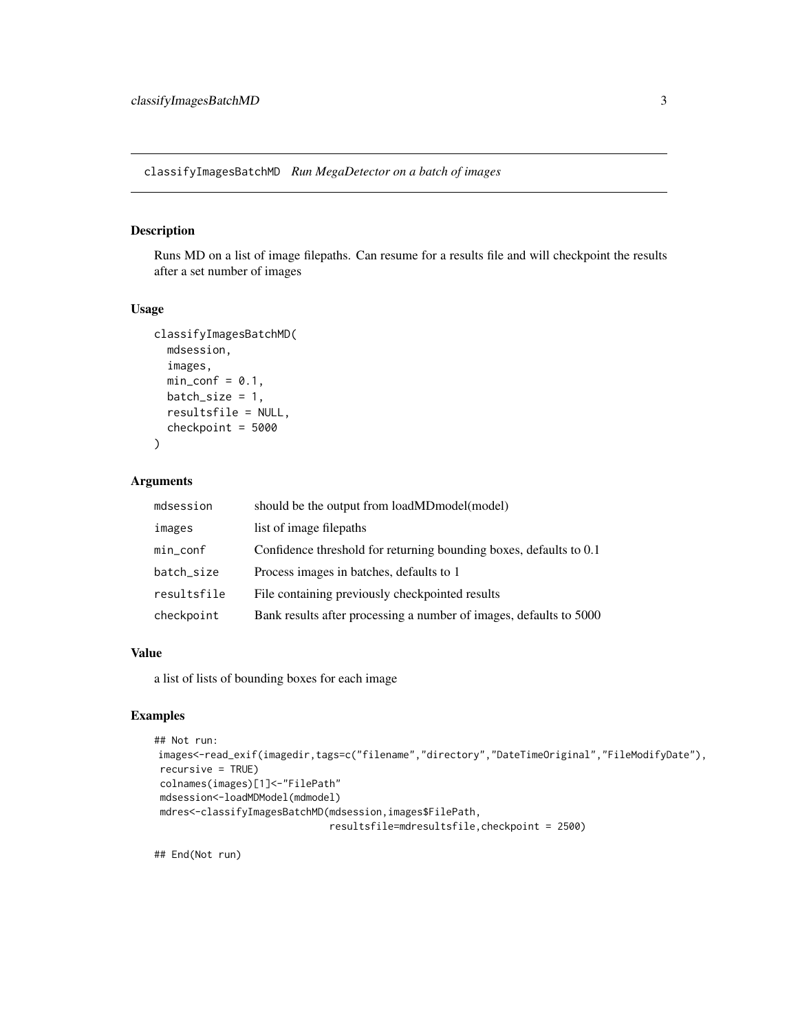<span id="page-2-0"></span>classifyImagesBatchMD *Run MegaDetector on a batch of images*

# Description

Runs MD on a list of image filepaths. Can resume for a results file and will checkpoint the results after a set number of images

#### Usage

```
classifyImagesBatchMD(
  mdsession,
  images,
 min\_conf = 0.1,
 batch_size = 1,
  resultsfile = NULL,
  checkpoint = 5000
\lambda
```
# Arguments

| mdsession   | should be the output from loadMDmodel(model)                       |
|-------------|--------------------------------------------------------------------|
| images      | list of image filepaths                                            |
| min_conf    | Confidence threshold for returning bounding boxes, defaults to 0.1 |
| batch_size  | Process images in batches, defaults to 1                           |
| resultsfile | File containing previously checkpointed results                    |
| checkpoint  | Bank results after processing a number of images, defaults to 5000 |

#### Value

a list of lists of bounding boxes for each image

# Examples

```
## Not run:
images<-read_exif(imagedir,tags=c("filename","directory","DateTimeOriginal","FileModifyDate"),
recursive = TRUE)
colnames(images)[1]<-"FilePath"
mdsession<-loadMDModel(mdmodel)
mdres<-classifyImagesBatchMD(mdsession,images$FilePath,
                             resultsfile=mdresultsfile,checkpoint = 2500)
```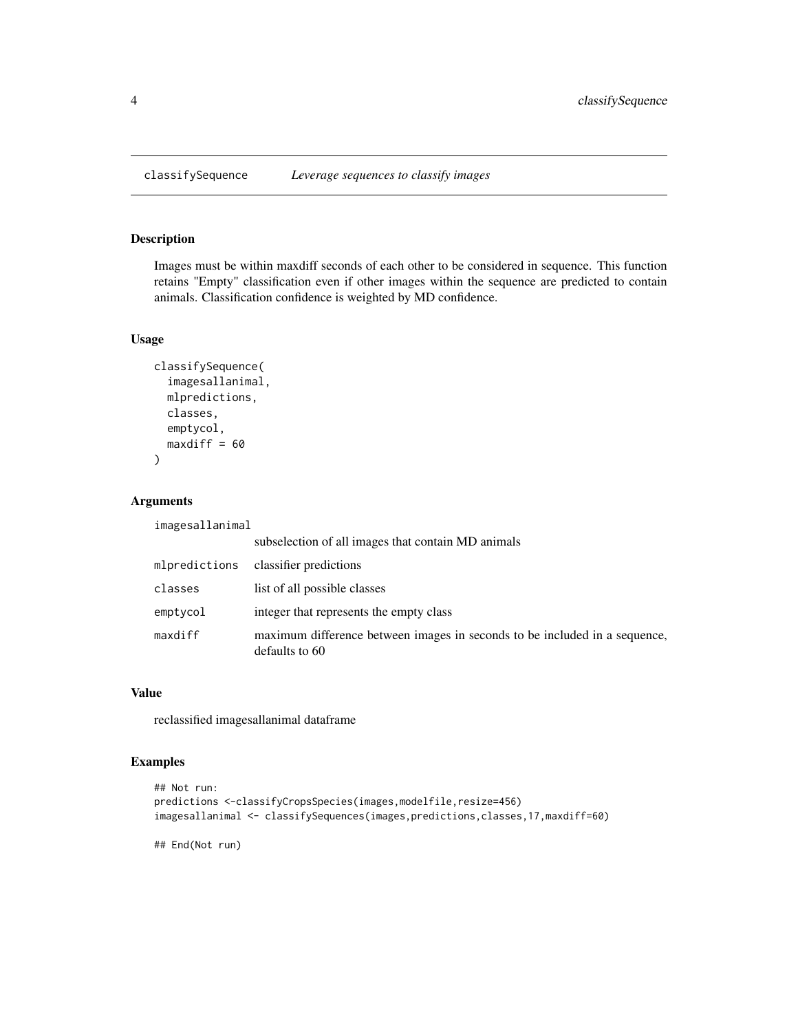Images must be within maxdiff seconds of each other to be considered in sequence. This function retains "Empty" classification even if other images within the sequence are predicted to contain animals. Classification confidence is weighted by MD confidence.

#### Usage

```
classifySequence(
  imagesallanimal,
  mlpredictions,
  classes,
  emptycol,
  maxdiff = 60\mathcal{L}
```
# Arguments

imagesallanimal

|               | subselection of all images that contain MD animals                                           |
|---------------|----------------------------------------------------------------------------------------------|
| mlpredictions | classifier predictions                                                                       |
| classes       | list of all possible classes                                                                 |
| emptycol      | integer that represents the empty class                                                      |
| maxdiff       | maximum difference between images in seconds to be included in a sequence,<br>defaults to 60 |

#### Value

reclassified imagesallanimal dataframe

#### Examples

```
## Not run:
predictions <-classifyCropsSpecies(images,modelfile,resize=456)
imagesallanimal <- classifySequences(images,predictions,classes,17,maxdiff=60)
```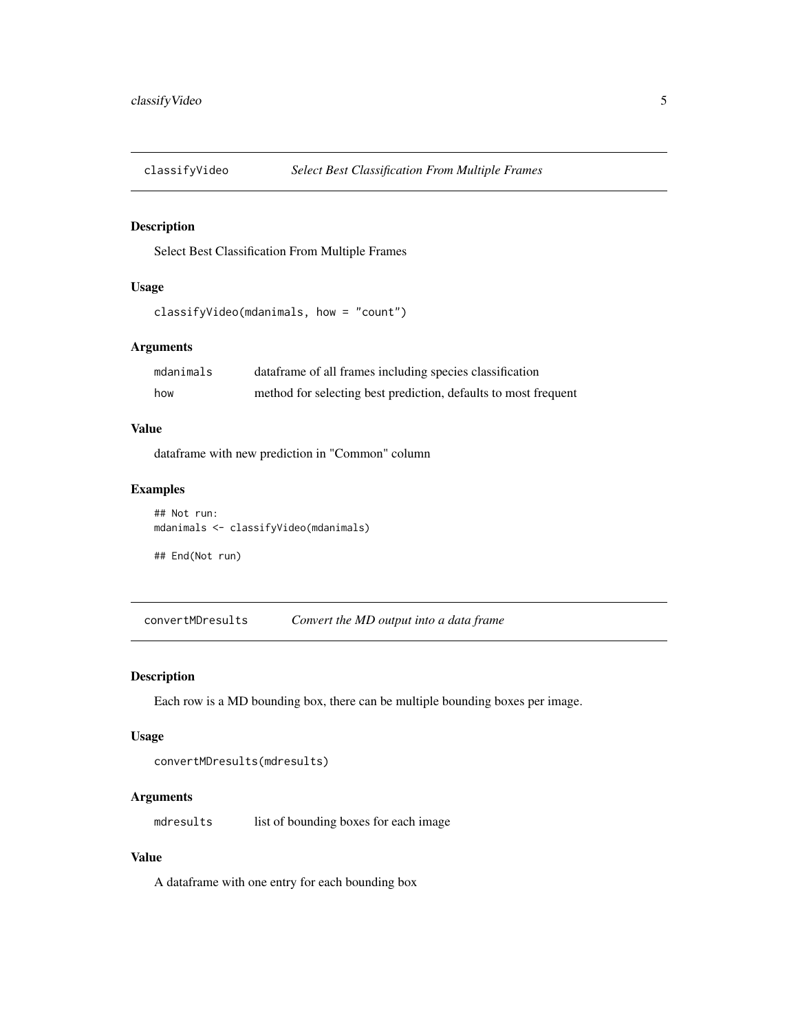<span id="page-4-0"></span>

Select Best Classification From Multiple Frames

# Usage

```
classifyVideo(mdanimals, how = "count")
```
#### Arguments

| mdanimals | dataframe of all frames including species classification        |
|-----------|-----------------------------------------------------------------|
| how       | method for selecting best prediction, defaults to most frequent |

#### Value

dataframe with new prediction in "Common" column

#### Examples

```
## Not run:
mdanimals <- classifyVideo(mdanimals)
```
## End(Not run)

convertMDresults *Convert the MD output into a data frame*

#### Description

Each row is a MD bounding box, there can be multiple bounding boxes per image.

#### Usage

```
convertMDresults(mdresults)
```
# Arguments

mdresults list of bounding boxes for each image

#### Value

A dataframe with one entry for each bounding box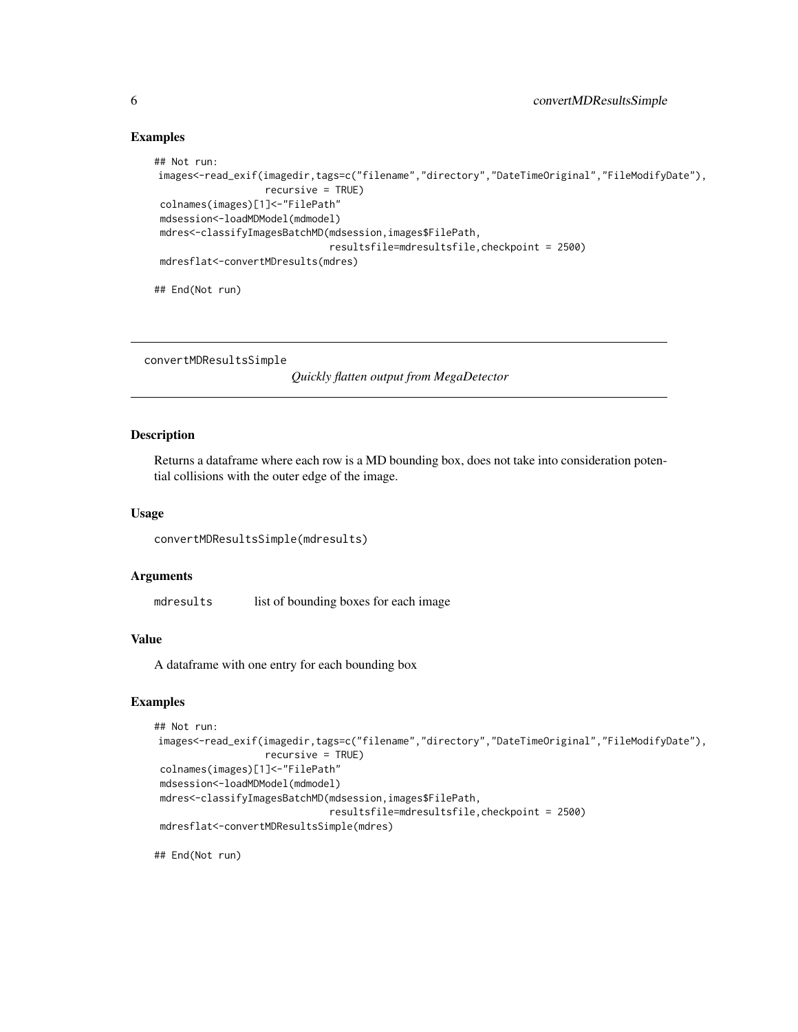#### Examples

```
## Not run:
images<-read_exif(imagedir,tags=c("filename","directory","DateTimeOriginal","FileModifyDate"),
                   recursive = TRUE)
colnames(images)[1]<-"FilePath"
mdsession<-loadMDModel(mdmodel)
mdres<-classifyImagesBatchMD(mdsession,images$FilePath,
                              resultsfile=mdresultsfile,checkpoint = 2500)
mdresflat<-convertMDresults(mdres)
```
## End(Not run)

convertMDResultsSimple

*Quickly flatten output from MegaDetector*

#### Description

Returns a dataframe where each row is a MD bounding box, does not take into consideration potential collisions with the outer edge of the image.

#### Usage

convertMDResultsSimple(mdresults)

#### Arguments

mdresults list of bounding boxes for each image

# Value

A dataframe with one entry for each bounding box

#### Examples

```
## Not run:
images<-read_exif(imagedir,tags=c("filename","directory","DateTimeOriginal","FileModifyDate"),
                  recursive = TRUE)
colnames(images)[1]<-"FilePath"
mdsession<-loadMDModel(mdmodel)
mdres<-classifyImagesBatchMD(mdsession,images$FilePath,
                              resultsfile=mdresultsfile,checkpoint = 2500)
mdresflat<-convertMDResultsSimple(mdres)
```
<span id="page-5-0"></span>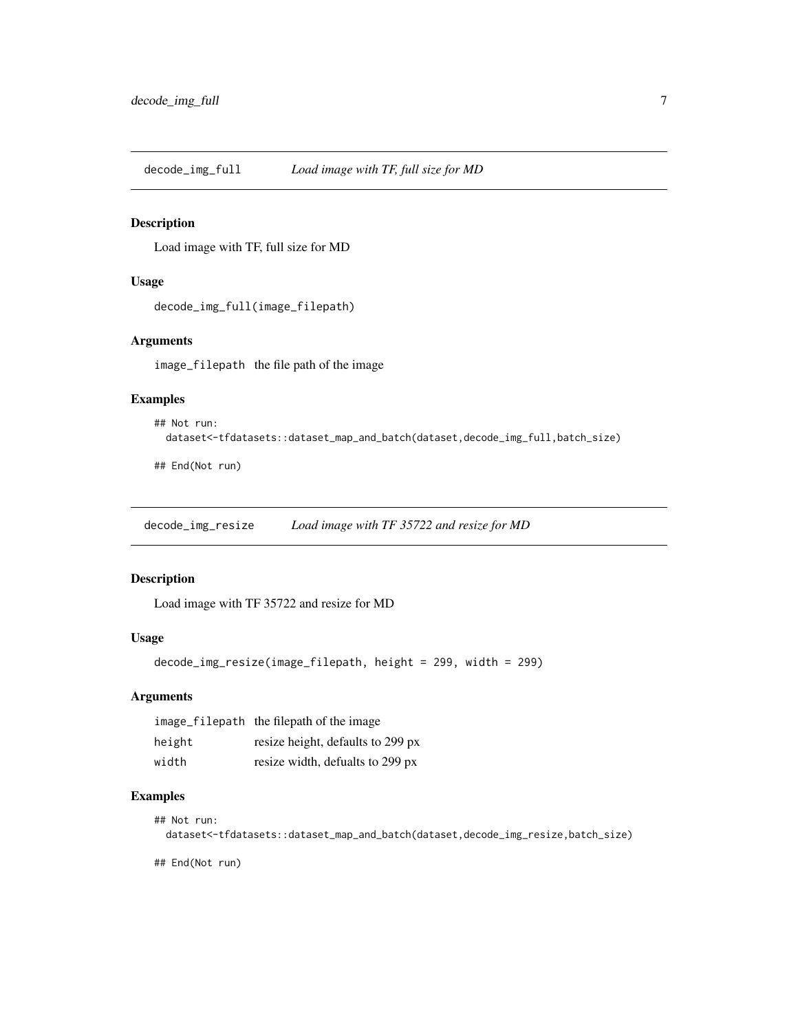<span id="page-6-0"></span>decode\_img\_full *Load image with TF, full size for MD*

#### Description

Load image with TF, full size for MD

#### Usage

```
decode_img_full(image_filepath)
```
# Arguments

image\_filepath the file path of the image

#### Examples

```
## Not run:
 dataset<-tfdatasets::dataset_map_and_batch(dataset,decode_img_full,batch_size)
```
## End(Not run)

decode\_img\_resize *Load image with TF 35722 and resize for MD*

# Description

Load image with TF 35722 and resize for MD

# Usage

```
decode_img_resize(image_filepath, height = 299, width = 299)
```
#### Arguments

|        | image_filepath the filepath of the image |
|--------|------------------------------------------|
| height | resize height, defaults to 299 px        |
| width  | resize width, defualts to 299 px         |

# Examples

```
## Not run:
 dataset<-tfdatasets::dataset_map_and_batch(dataset,decode_img_resize,batch_size)
```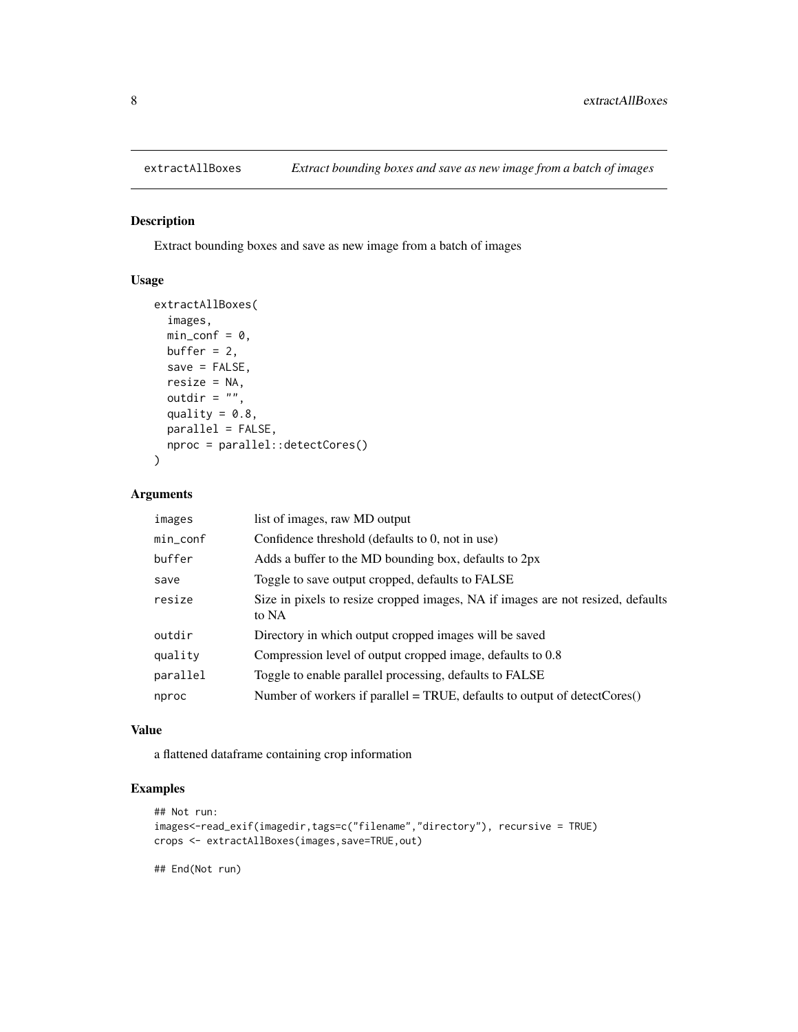<span id="page-7-0"></span>

Extract bounding boxes and save as new image from a batch of images

# Usage

```
extractAllBoxes(
  images,
 min\_conf = 0,
 buffer = 2,
  save = FALSE,
  resize = NA,
  outdir = ",
  quality = 0.8,
 parallel = FALSE,
 nproc = parallel::detectCores()
)
```
# Arguments

| images   | list of images, raw MD output                                                            |
|----------|------------------------------------------------------------------------------------------|
| min_conf | Confidence threshold (defaults to 0, not in use)                                         |
| buffer   | Adds a buffer to the MD bounding box, defaults to 2px                                    |
| save     | Toggle to save output cropped, defaults to FALSE                                         |
| resize   | Size in pixels to resize cropped images, NA if images are not resized, defaults<br>to NA |
| outdir   | Directory in which output cropped images will be saved                                   |
| quality  | Compression level of output cropped image, defaults to 0.8                               |
| parallel | Toggle to enable parallel processing, defaults to FALSE                                  |
| nproc    | Number of workers if parallel = TRUE, defaults to output of detectCores $()$             |

#### Value

a flattened dataframe containing crop information

# Examples

```
## Not run:
images<-read_exif(imagedir,tags=c("filename","directory"), recursive = TRUE)
crops <- extractAllBoxes(images,save=TRUE,out)
```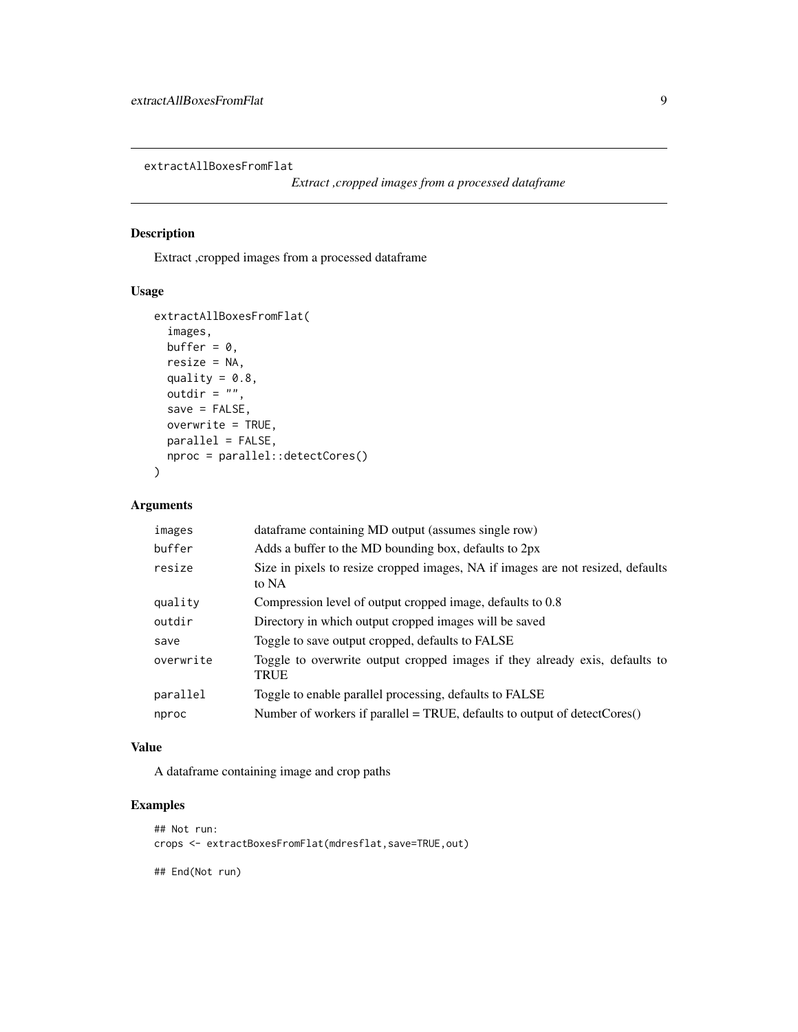<span id="page-8-0"></span>extractAllBoxesFromFlat

```
Extract ,cropped images from a processed dataframe
```
# Description

Extract ,cropped images from a processed dataframe

# Usage

```
extractAllBoxesFromFlat(
  images,
 buffer = 0,
  resize = NA,
  quality = 0.8,
  outdir = ",
  save = FALSE,
 overwrite = TRUE,
 parallel = FALSE,
 nproc = parallel::detectCores()
)
```
# Arguments

| images    | dataframe containing MD output (assumes single row)                                      |
|-----------|------------------------------------------------------------------------------------------|
| buffer    | Adds a buffer to the MD bounding box, defaults to 2px                                    |
| resize    | Size in pixels to resize cropped images, NA if images are not resized, defaults<br>to NA |
| quality   | Compression level of output cropped image, defaults to 0.8                               |
| outdir    | Directory in which output cropped images will be saved                                   |
| save      | Toggle to save output cropped, defaults to FALSE                                         |
| overwrite | Toggle to overwrite output cropped images if they already exis, defaults to<br>TRUE      |
| parallel  | Toggle to enable parallel processing, defaults to FALSE                                  |
| nproc     | Number of workers if parallel = TRUE, defaults to output of detectCores $()$             |

#### Value

A dataframe containing image and crop paths

# Examples

```
## Not run:
crops <- extractBoxesFromFlat(mdresflat,save=TRUE,out)
```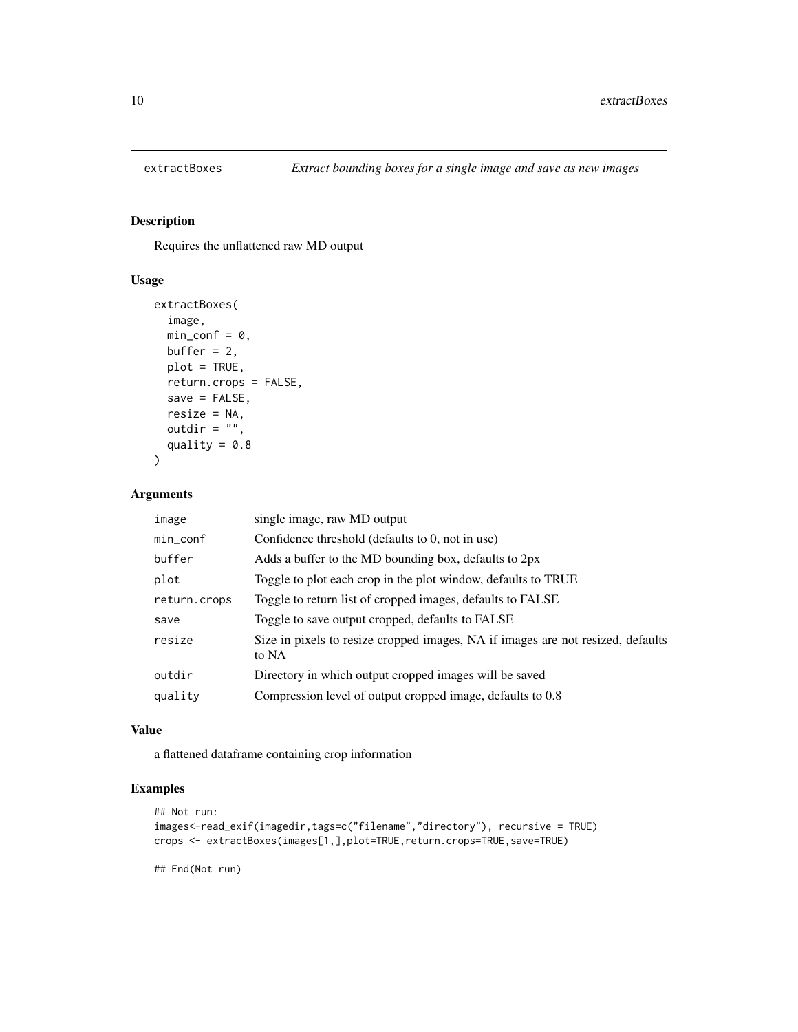<span id="page-9-0"></span>

Requires the unflattened raw MD output

# Usage

```
extractBoxes(
  image,
 min\_conf = 0,
 buffer = 2,
 plot = TRUE,
 return.crops = FALSE,
  save = FALSE,resize = NA,
 outdir = ",
  quality = 0.8)
```
# Arguments

| image        | single image, raw MD output                                                              |
|--------------|------------------------------------------------------------------------------------------|
| min_conf     | Confidence threshold (defaults to 0, not in use)                                         |
| buffer       | Adds a buffer to the MD bounding box, defaults to 2px                                    |
| plot         | Toggle to plot each crop in the plot window, defaults to TRUE                            |
| return.crops | Toggle to return list of cropped images, defaults to FALSE                               |
| save         | Toggle to save output cropped, defaults to FALSE                                         |
| resize       | Size in pixels to resize cropped images, NA if images are not resized, defaults<br>to NA |
| outdir       | Directory in which output cropped images will be saved                                   |
| quality      | Compression level of output cropped image, defaults to 0.8                               |
|              |                                                                                          |

#### Value

a flattened dataframe containing crop information

# Examples

```
## Not run:
images<-read_exif(imagedir,tags=c("filename","directory"), recursive = TRUE)
crops <- extractBoxes(images[1,],plot=TRUE,return.crops=TRUE,save=TRUE)
```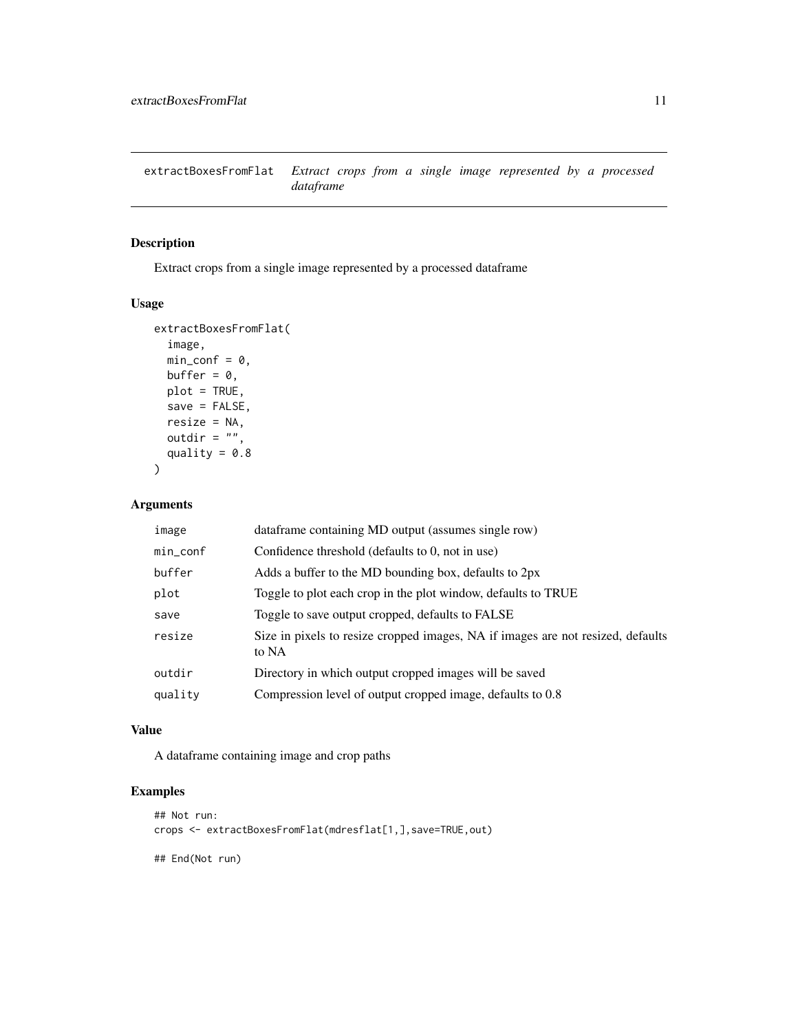<span id="page-10-0"></span>extractBoxesFromFlat *Extract crops from a single image represented by a processed dataframe*

# Description

Extract crops from a single image represented by a processed dataframe

#### Usage

```
extractBoxesFromFlat(
  image,
 min\_conf = 0,
 buffer = 0,
 plot = TRUE,
  save = FALSE,resize = NA,
 outdir = ",
  quality = 0.8\mathcal{E}
```
# Arguments

| min_conf<br>Confidence threshold (defaults to 0, not in use)<br>buffer<br>Adds a buffer to the MD bounding box, defaults to 2px<br>Toggle to plot each crop in the plot window, defaults to TRUE<br>plot<br>Toggle to save output cropped, defaults to FALSE<br>save<br>resize<br>to NA<br>Directory in which output cropped images will be saved<br>outdir<br>Compression level of output cropped image, defaults to 0.8<br>quality | image | dataframe containing MD output (assumes single row)                             |
|--------------------------------------------------------------------------------------------------------------------------------------------------------------------------------------------------------------------------------------------------------------------------------------------------------------------------------------------------------------------------------------------------------------------------------------|-------|---------------------------------------------------------------------------------|
|                                                                                                                                                                                                                                                                                                                                                                                                                                      |       |                                                                                 |
|                                                                                                                                                                                                                                                                                                                                                                                                                                      |       |                                                                                 |
|                                                                                                                                                                                                                                                                                                                                                                                                                                      |       |                                                                                 |
|                                                                                                                                                                                                                                                                                                                                                                                                                                      |       |                                                                                 |
|                                                                                                                                                                                                                                                                                                                                                                                                                                      |       | Size in pixels to resize cropped images, NA if images are not resized, defaults |
|                                                                                                                                                                                                                                                                                                                                                                                                                                      |       |                                                                                 |
|                                                                                                                                                                                                                                                                                                                                                                                                                                      |       |                                                                                 |

# Value

A dataframe containing image and crop paths

# Examples

```
## Not run:
crops <- extractBoxesFromFlat(mdresflat[1,],save=TRUE,out)
## End(Not run)
```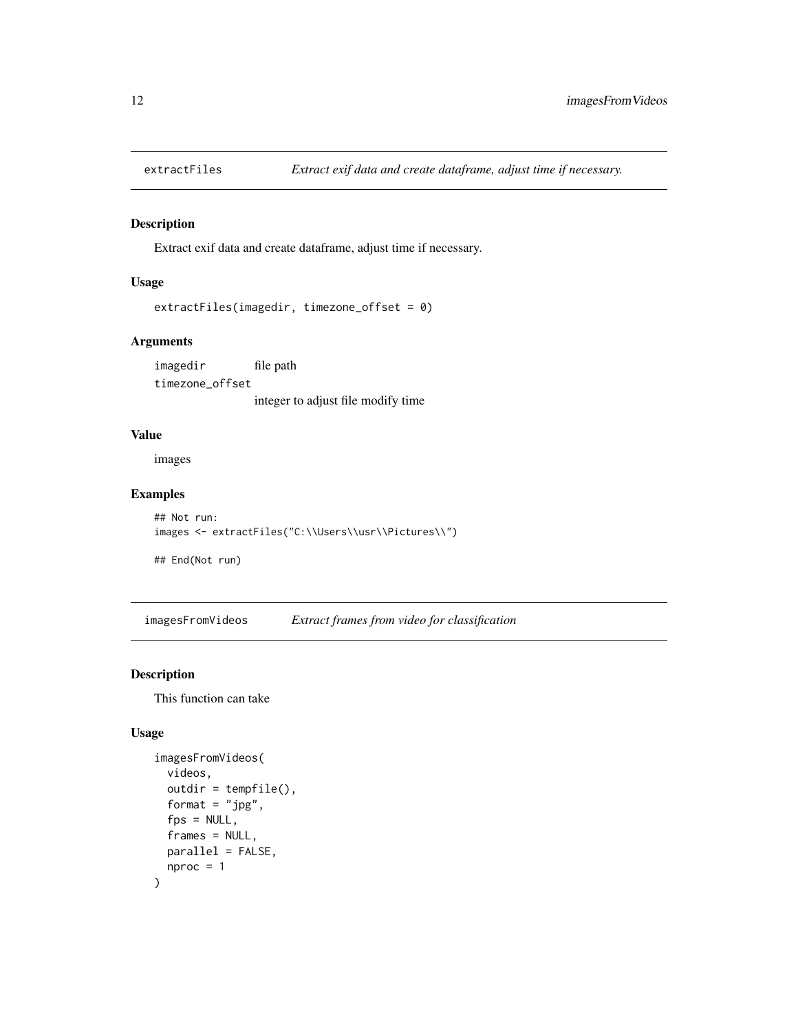<span id="page-11-0"></span>

Extract exif data and create dataframe, adjust time if necessary.

#### Usage

```
extractFiles(imagedir, timezone_offset = 0)
```
# Arguments

imagedir file path timezone\_offset integer to adjust file modify time

#### Value

images

# Examples

```
## Not run:
images <- extractFiles("C:\\Users\\usr\\Pictures\\")
```
## End(Not run)

imagesFromVideos *Extract frames from video for classification*

#### Description

This function can take

#### Usage

```
imagesFromVideos(
 videos,
 outdir = tempfile(),
 format = "jpg",
  fps = NULL,frames = NULL,
 parallel = FALSE,
  nproc = 1\mathcal{E}
```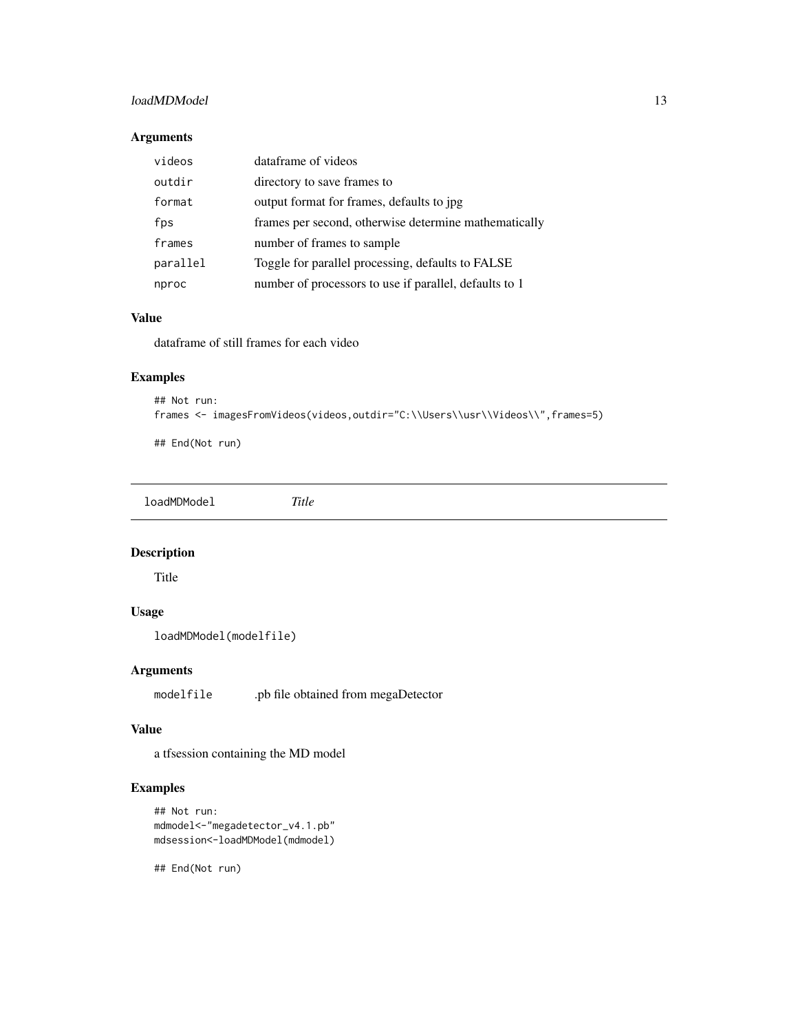#### <span id="page-12-0"></span>loadMDModel 13

# Arguments

| videos   | dataframe of videos                                    |
|----------|--------------------------------------------------------|
| outdir   | directory to save frames to                            |
| format   | output format for frames, defaults to jpg              |
| fps      | frames per second, otherwise determine mathematically  |
| frames   | number of frames to sample                             |
| parallel | Toggle for parallel processing, defaults to FALSE      |
| nproc    | number of processors to use if parallel, defaults to 1 |

# Value

dataframe of still frames for each video

# Examples

```
## Not run:
frames <- imagesFromVideos(videos,outdir="C:\\Users\\usr\\Videos\\",frames=5)
```
## End(Not run)

loadMDModel *Title*

Description

Title

# Usage

loadMDModel(modelfile)

#### Arguments

modelfile .pb file obtained from megaDetector

#### Value

a tfsession containing the MD model

# Examples

```
## Not run:
mdmodel<-"megadetector_v4.1.pb"
mdsession<-loadMDModel(mdmodel)
```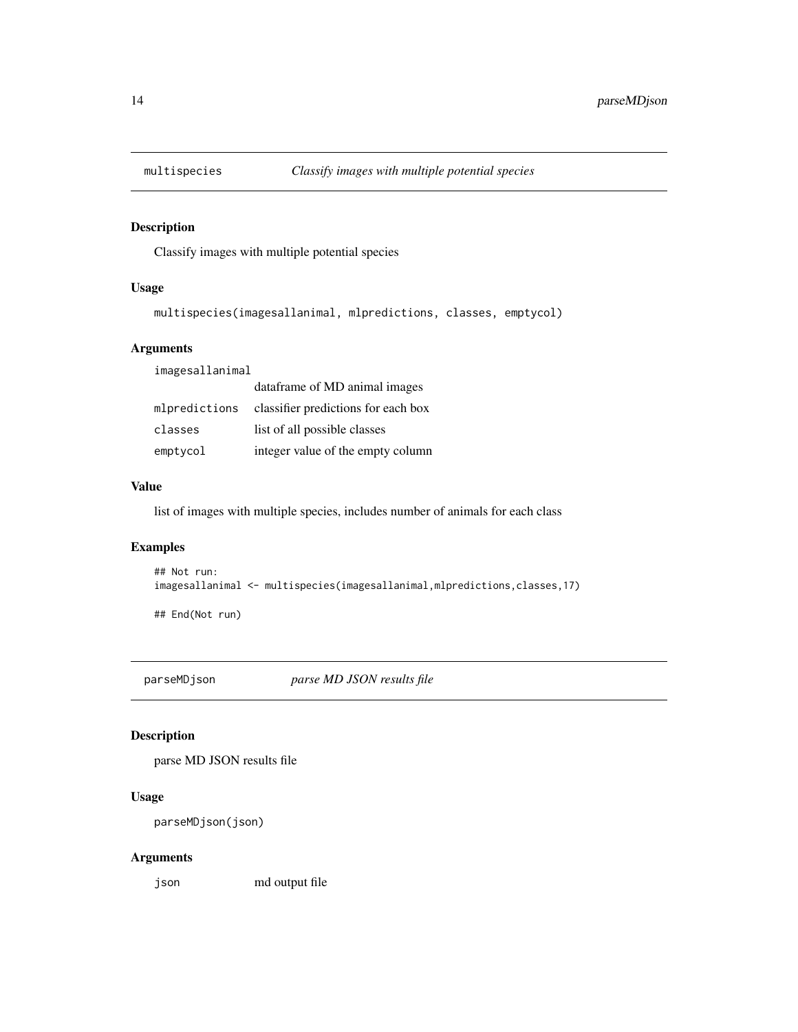<span id="page-13-0"></span>

Classify images with multiple potential species

#### Usage

```
multispecies(imagesallanimal, mlpredictions, classes, emptycol)
```
#### Arguments

imagesallanimal

|               | dataframe of MD animal images       |
|---------------|-------------------------------------|
| mlpredictions | classifier predictions for each box |
| classes       | list of all possible classes        |
| emptycol      | integer value of the empty column   |

#### Value

list of images with multiple species, includes number of animals for each class

# Examples

```
## Not run:
imagesallanimal <- multispecies(imagesallanimal,mlpredictions,classes,17)
```
## End(Not run)

parseMDjson *parse MD JSON results file*

# Description

parse MD JSON results file

# Usage

```
parseMDjson(json)
```
# Arguments

json md output file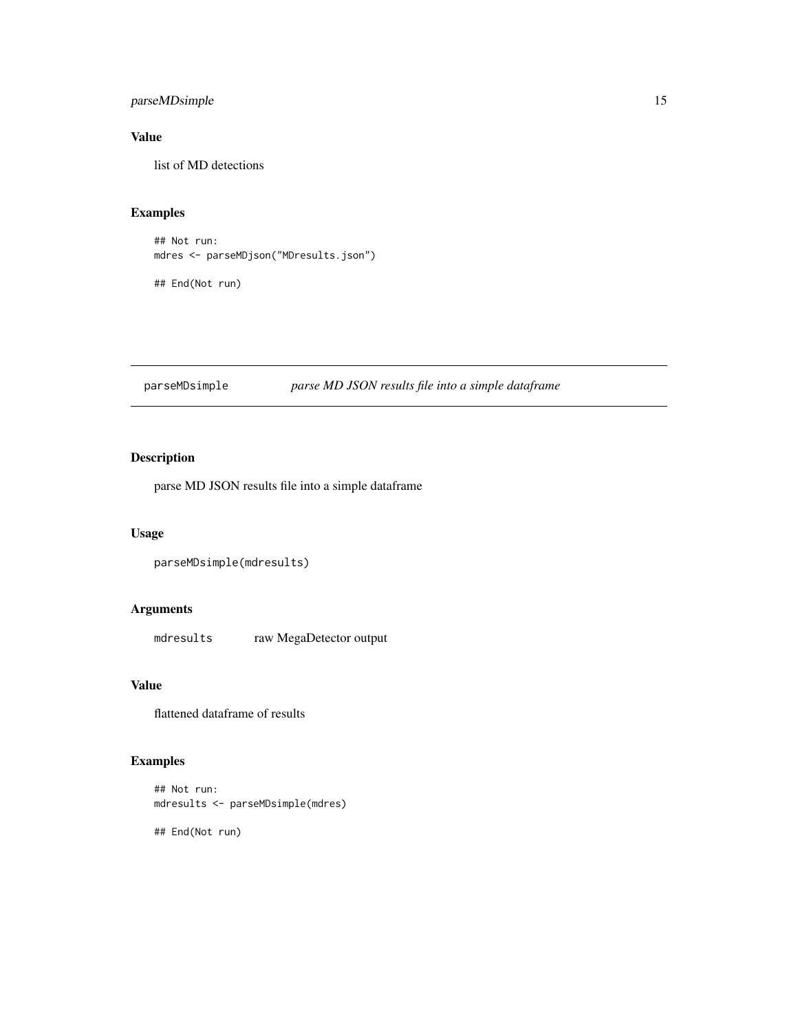# <span id="page-14-0"></span>parseMDsimple 15

# Value

list of MD detections

# Examples

## Not run: mdres <- parseMDjson("MDresults.json")

## End(Not run)

# Description

parse MD JSON results file into a simple dataframe

# Usage

```
parseMDsimple(mdresults)
```
#### Arguments

mdresults raw MegaDetector output

#### Value

flattened dataframe of results

# Examples

```
## Not run:
mdresults <- parseMDsimple(mdres)
```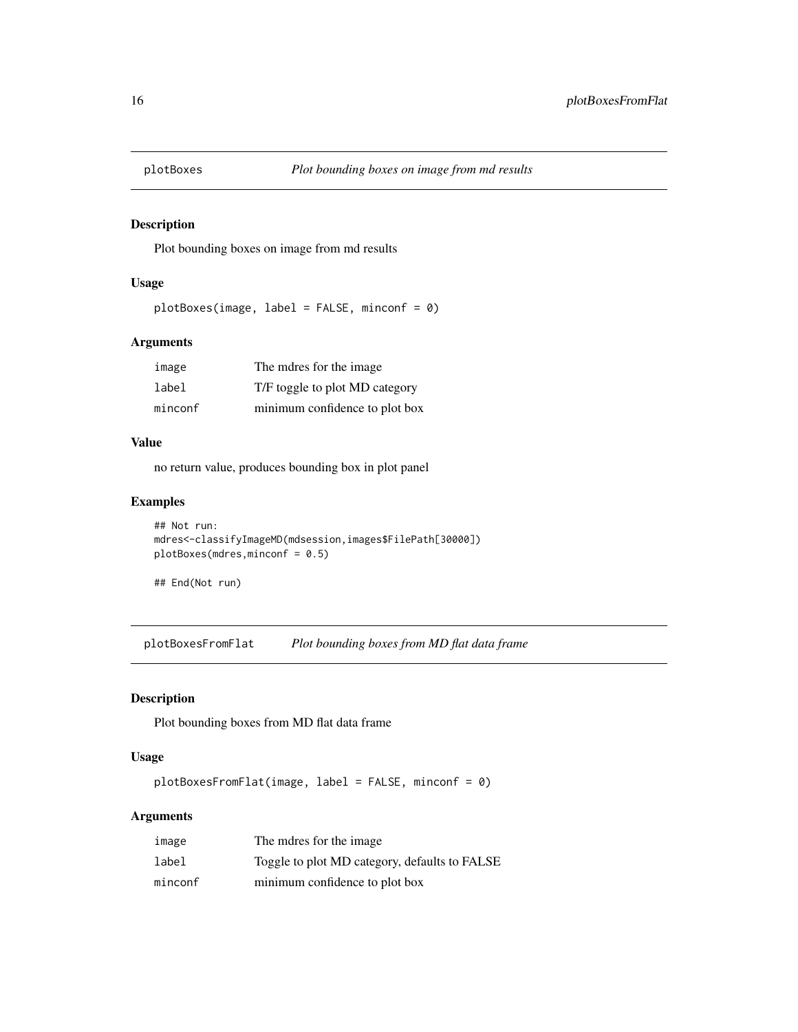<span id="page-15-0"></span>

Plot bounding boxes on image from md results

#### Usage

```
plotBoxes(image, label = FALSE, minconf = 0)
```
# Arguments

| image   | The mdres for the image        |
|---------|--------------------------------|
| label   | T/F toggle to plot MD category |
| minconf | minimum confidence to plot box |

#### Value

no return value, produces bounding box in plot panel

#### Examples

```
## Not run:
mdres<-classifyImageMD(mdsession,images$FilePath[30000])
plotBoxes(mdres,minconf = 0.5)
```
## End(Not run)

plotBoxesFromFlat *Plot bounding boxes from MD flat data frame*

#### Description

Plot bounding boxes from MD flat data frame

#### Usage

plotBoxesFromFlat(image, label = FALSE, minconf = 0)

# Arguments

| image   | The mdres for the image.                      |
|---------|-----------------------------------------------|
| label   | Toggle to plot MD category, defaults to FALSE |
| minconf | minimum confidence to plot box                |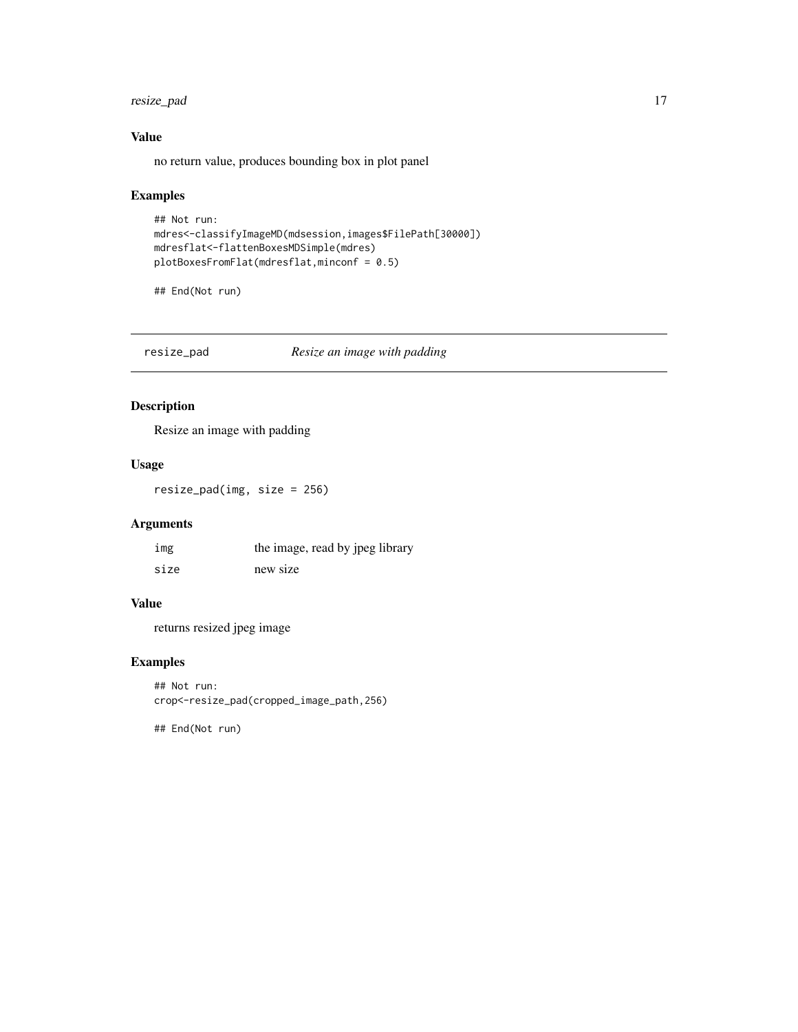<span id="page-16-0"></span>resize\_pad 17

# Value

no return value, produces bounding box in plot panel

# Examples

```
## Not run:
mdres<-classifyImageMD(mdsession,images$FilePath[30000])
mdresflat<-flattenBoxesMDSimple(mdres)
plotBoxesFromFlat(mdresflat,minconf = 0.5)
```
## End(Not run)

resize\_pad *Resize an image with padding*

# Description

Resize an image with padding

# Usage

resize\_pad(img, size = 256)

# Arguments

| img  | the image, read by jpeg library |
|------|---------------------------------|
| size | new size                        |

# Value

returns resized jpeg image

# Examples

## Not run: crop<-resize\_pad(cropped\_image\_path,256)